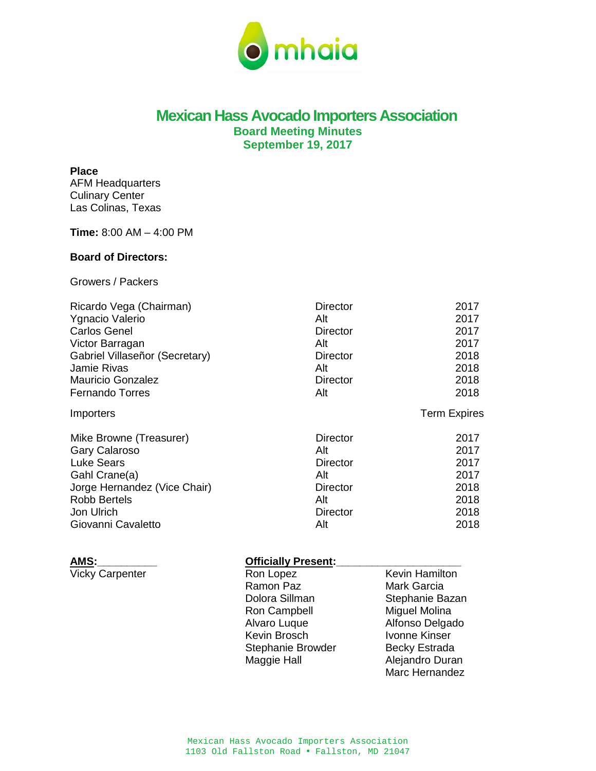

## **Mexican Hass Avocado Importers Association Board Meeting Minutes**

**September 19, 2017** 

## **Place**

AFM Headquarters Culinary Center Las Colinas, Texas

**Time:** 8:00 AM – 4:00 PM

## **Board of Directors:**

Growers / Packers

| Ricardo Vega (Chairman)        | <b>Director</b> | 2017                |
|--------------------------------|-----------------|---------------------|
| Ygnacio Valerio                | Alt             | 2017                |
| <b>Carlos Genel</b>            | <b>Director</b> | 2017                |
| Victor Barragan                | Alt             | 2017                |
| Gabriel Villaseñor (Secretary) | Director        | 2018                |
| <b>Jamie Rivas</b>             | Alt             | 2018                |
| <b>Mauricio Gonzalez</b>       | Director        | 2018                |
| <b>Fernando Torres</b>         | Alt             | 2018                |
| Importers                      |                 | <b>Term Expires</b> |
| Mike Browne (Treasurer)        | <b>Director</b> | 2017                |
| <b>Gary Calaroso</b>           | Alt             | 2017                |
| <b>Luke Sears</b>              | <b>Director</b> | 2017                |
| Gahl Crane(a)                  | Alt             | 2017                |
| Jorge Hernandez (Vice Chair)   | <b>Director</b> | 2018                |
| <b>Robb Bertels</b>            | Alt             | 2018                |
| Jon Ulrich                     | Director        | 2018                |
| Giovanni Cavaletto             | Alt             | 2018                |

| ۰. | ٠ | í |
|----|---|---|

Vicky Carpenter **Ron Lopez** Kevin Hamilton

## **Officially Present:\_**

Ramon Paz Mark Garcia Dolora Sillman Stephanie Bazan<br>
Ron Campbell Miguel Molina Ron Campbell<br>Alvaro Luque Kevin Brosch<br>
Stephanie Browder
Stephanie Browder
Becky Estrada Stephanie Browder<br>Maggie Hall

Alfonso Delgado **Alejandro Duran** Marc Hernandez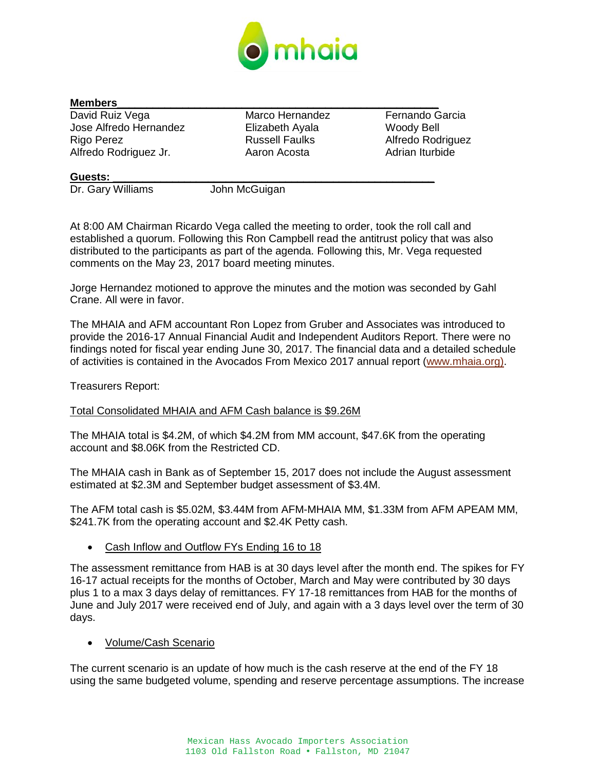

## **Members\_\_\_\_\_\_\_\_\_\_\_\_\_\_\_\_\_\_\_\_\_\_\_\_\_\_\_\_\_\_\_\_\_\_\_\_\_\_\_\_\_\_\_\_\_\_\_\_\_\_\_\_\_\_**

David Ruiz Vega **Marco Hernandez** Fernando Garcia Jose Alfredo Hernandez Elizabeth Ayala Woody Bell Rigo Perez **Russell Faulks** Alfredo Rodriguez Alfredo Rodriguez Jr. Aaron Acosta Adrian Iturbide

## **Guests: \_\_\_\_\_\_\_\_\_\_\_\_\_\_\_\_\_\_\_\_\_\_\_\_\_\_\_\_\_\_\_\_\_\_\_\_\_\_\_\_\_\_\_\_\_\_\_\_\_\_\_\_\_\_**

Dr. Gary Williams **John McGuigan** 

At 8:00 AM Chairman Ricardo Vega called the meeting to order, took the roll call and established a quorum. Following this Ron Campbell read the antitrust policy that was also distributed to the participants as part of the agenda. Following this, Mr. Vega requested comments on the May 23, 2017 board meeting minutes.

Jorge Hernandez motioned to approve the minutes and the motion was seconded by Gahl Crane. All were in favor.

The MHAIA and AFM accountant Ron Lopez from Gruber and Associates was introduced to provide the 2016-17 Annual Financial Audit and Independent Auditors Report. There were no findings noted for fiscal year ending June 30, 2017. The financial data and a detailed schedule of activities is contained in the Avocados From Mexico 2017 annual report [\(www.mhaia.org\).](http://www.mhaia.org)/)

Treasurers Report:

## Total Consolidated MHAIA and AFM Cash balance is \$9.26M

The MHAIA total is \$4.2M, of which \$4.2M from MM account, \$47.6K from the operating account and \$8.06K from the Restricted CD.

The MHAIA cash in Bank as of September 15, 2017 does not include the August assessment estimated at \$2.3M and September budget assessment of \$3.4M.

The AFM total cash is \$5.02M, \$3.44M from AFM-MHAIA MM, \$1.33M from AFM APEAM MM, \$241.7K from the operating account and \$2.4K Petty cash.

• Cash Inflow and Outflow FYs Ending 16 to 18

The assessment remittance from HAB is at 30 days level after the month end. The spikes for FY 16-17 actual receipts for the months of October, March and May were contributed by 30 days plus 1 to a max 3 days delay of remittances. FY 17-18 remittances from HAB for the months of June and July 2017 were received end of July, and again with a 3 days level over the term of 30 days.

• Volume/Cash Scenario

The current scenario is an update of how much is the cash reserve at the end of the FY 18 using the same budgeted volume, spending and reserve percentage assumptions. The increase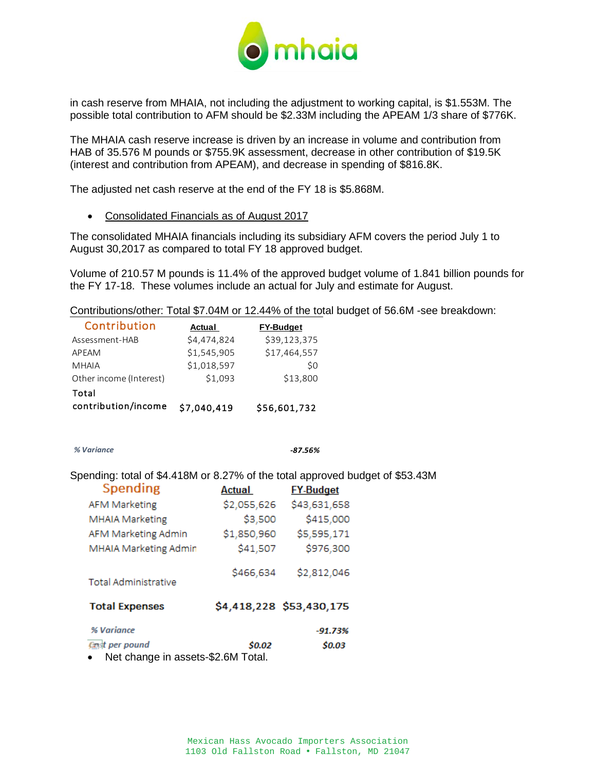

in cash reserve from MHAIA, not including the adjustment to working capital, is \$1.553M. The possible total contribution to AFM should be \$2.33M including the APEAM 1/3 share of \$776K.

The MHAIA cash reserve increase is driven by an increase in volume and contribution from HAB of 35.576 M pounds or \$755.9K assessment, decrease in other contribution of \$19.5K (interest and contribution from APEAM), and decrease in spending of \$816.8K.

The adjusted net cash reserve at the end of the FY 18 is \$5.868M.

• Consolidated Financials as of August 2017

The consolidated MHAIA financials including its subsidiary AFM covers the period July 1 to August 30,2017 as compared to total FY 18 approved budget.

Volume of 210.57 M pounds is 11.4% of the approved budget volume of 1.841 billion pounds for the FY 17-18. These volumes include an actual for July and estimate for August.

Contributions/other: Total \$7.04M or 12.44% of the total budget of 56.6M -see breakdown:

| Contribution            | Actual      | <b>FY-Budget</b> |
|-------------------------|-------------|------------------|
| Assessment-HAB          | \$4,474,824 | \$39,123,375     |
| APEAM                   | \$1,545,905 | \$17,464,557     |
| <b>MHAIA</b>            | \$1,018,597 | \$0              |
| Other income (Interest) | \$1,093     | \$13,800         |
| Total                   |             |                  |
| contribution/income     | \$7,040,419 | \$56,601,732     |

 *% Variance -87.56%*

Spending: total of \$4.418M or 8.27% of the total approved budget of \$53.43M

| Spending                                                           | Actual      | <b>FY-Budget</b>         |
|--------------------------------------------------------------------|-------------|--------------------------|
| <b>AFM Marketing</b>                                               | \$2,055,626 | \$43,631,658             |
| <b>MHAIA Marketing</b>                                             | \$3,500     | \$415,000                |
| AFM Marketing Admin                                                | \$1,850,960 | \$5,595,171              |
| <b>MHAIA Marketing Admin</b>                                       | \$41,507    | \$976,300                |
| <b>Total Administrative</b>                                        | \$466,634   | \$2,812,046              |
| <b>Total Expenses</b>                                              |             | \$4,418,228 \$53,430,175 |
| % Variance<br>Cost per pound<br>Net change in assets-\$2.6M Total. | \$0.02      | $-91.73%$<br>\$0.03      |

Mexican Hass Avocado Importers Association 1103 Old Fallston Road . Fallston, MD 21047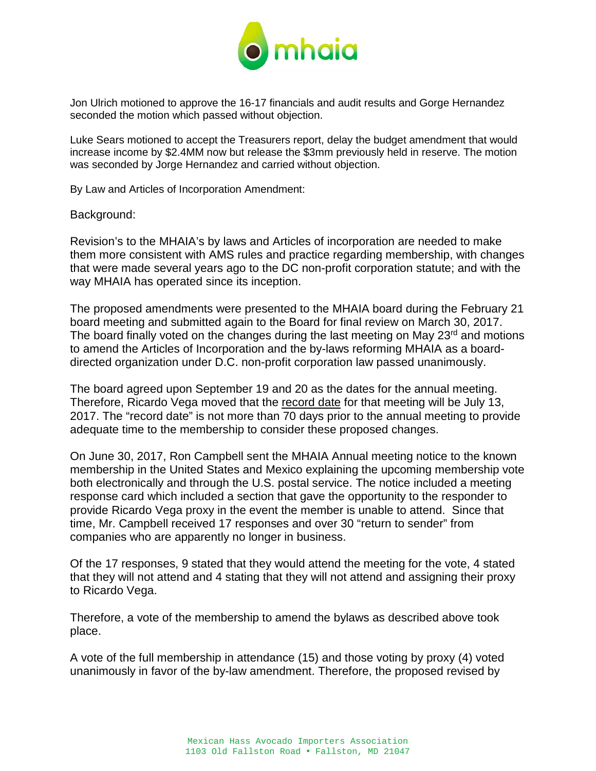

Jon Ulrich motioned to approve the 16-17 financials and audit results and Gorge Hernandez seconded the motion which passed without objection.

Luke Sears motioned to accept the Treasurers report, delay the budget amendment that would increase income by \$2.4MM now but release the \$3mm previously held in reserve. The motion was seconded by Jorge Hernandez and carried without objection.

By Law and Articles of Incorporation Amendment:

Background:

Revision's to the MHAIA's by laws and Articles of incorporation are needed to make them more consistent with AMS rules and practice regarding membership, with changes that were made several years ago to the DC non-profit corporation statute; and with the way MHAIA has operated since its inception.

The proposed amendments were presented to the MHAIA board during the February 21 board meeting and submitted again to the Board for final review on March 30, 2017. The board finally voted on the changes during the last meeting on May  $23<sup>rd</sup>$  and motions to amend the Articles of Incorporation and the by-laws reforming MHAIA as a boarddirected organization under D.C. non-profit corporation law passed unanimously.

The board agreed upon September 19 and 20 as the dates for the annual meeting. Therefore, Ricardo Vega moved that the record date for that meeting will be July 13, 2017. The "record date" is not more than 70 days prior to the annual meeting to provide adequate time to the membership to consider these proposed changes.

On June 30, 2017, Ron Campbell sent the MHAIA Annual meeting notice to the known membership in the United States and Mexico explaining the upcoming membership vote both electronically and through the U.S. postal service. The notice included a meeting response card which included a section that gave the opportunity to the responder to provide Ricardo Vega proxy in the event the member is unable to attend. Since that time, Mr. Campbell received 17 responses and over 30 "return to sender" from companies who are apparently no longer in business.

Of the 17 responses, 9 stated that they would attend the meeting for the vote, 4 stated that they will not attend and 4 stating that they will not attend and assigning their proxy to Ricardo Vega.

Therefore, a vote of the membership to amend the bylaws as described above took place.

A vote of the full membership in attendance (15) and those voting by proxy (4) voted unanimously in favor of the by-law amendment. Therefore, the proposed revised by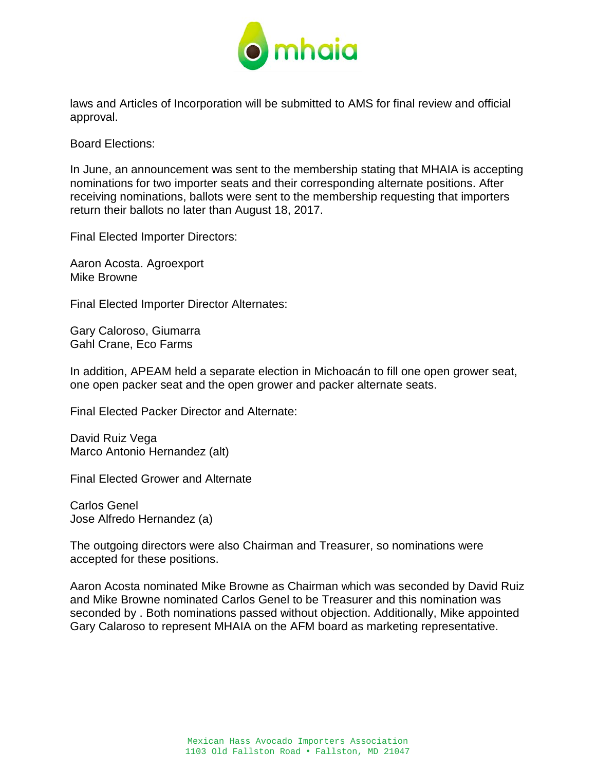

laws and Articles of Incorporation will be submitted to AMS for final review and official approval.

Board Elections:

In June, an announcement was sent to the membership stating that MHAIA is accepting nominations for two importer seats and their corresponding alternate positions. After receiving nominations, ballots were sent to the membership requesting that importers return their ballots no later than August 18, 2017.

Final Elected Importer Directors:

Aaron Acosta. Agroexport Mike Browne

Final Elected Importer Director Alternates:

Gary Caloroso, Giumarra Gahl Crane, Eco Farms

In addition, APEAM held a separate election in Michoacán to fill one open grower seat, one open packer seat and the open grower and packer alternate seats.

Final Elected Packer Director and Alternate:

David Ruiz Vega Marco Antonio Hernandez (alt)

Final Elected Grower and Alternate

Carlos Genel Jose Alfredo Hernandez (a)

The outgoing directors were also Chairman and Treasurer, so nominations were accepted for these positions.

Aaron Acosta nominated Mike Browne as Chairman which was seconded by David Ruiz and Mike Browne nominated Carlos Genel to be Treasurer and this nomination was seconded by . Both nominations passed without objection. Additionally, Mike appointed Gary Calaroso to represent MHAIA on the AFM board as marketing representative.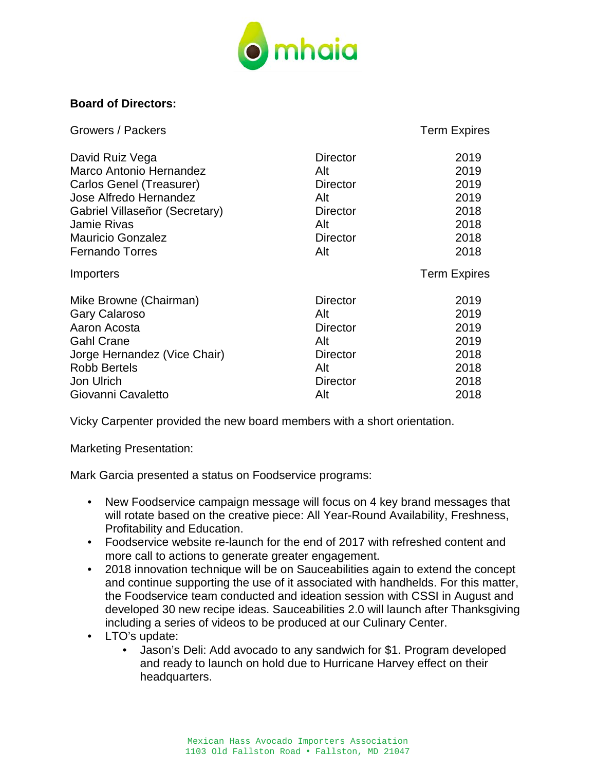

## **Board of Directors:**

| Growers / Packers              |                 | <b>Term Expires</b> |
|--------------------------------|-----------------|---------------------|
| David Ruiz Vega                | <b>Director</b> | 2019                |
| <b>Marco Antonio Hernandez</b> | Alt             | 2019                |
| Carlos Genel (Treasurer)       | <b>Director</b> | 2019                |
| Jose Alfredo Hernandez         | Alt             | 2019                |
| Gabriel Villaseñor (Secretary) | <b>Director</b> | 2018                |
| <b>Jamie Rivas</b>             | Alt             | 2018                |
| <b>Mauricio Gonzalez</b>       | <b>Director</b> | 2018                |
| <b>Fernando Torres</b>         | Alt             | 2018                |
|                                |                 |                     |
| Importers                      |                 | <b>Term Expires</b> |
| Mike Browne (Chairman)         | <b>Director</b> | 2019                |
| Gary Calaroso                  | Alt             | 2019                |
| Aaron Acosta                   | <b>Director</b> | 2019                |
| <b>Gahl Crane</b>              | Alt             | 2019                |
| Jorge Hernandez (Vice Chair)   | <b>Director</b> | 2018                |
| <b>Robb Bertels</b>            | Alt             | 2018                |
| Jon Ulrich                     | <b>Director</b> | 2018                |

Vicky Carpenter provided the new board members with a short orientation.

Marketing Presentation:

Mark Garcia presented a status on Foodservice programs:

- New Foodservice campaign message will focus on 4 key brand messages that will rotate based on the creative piece: All Year-Round Availability, Freshness, Profitability and Education.
- Foodservice website re-launch for the end of 2017 with refreshed content and more call to actions to generate greater engagement.
- 2018 innovation technique will be on Sauceabilities again to extend the concept and continue supporting the use of it associated with handhelds. For this matter, the Foodservice team conducted and ideation session with CSSI in August and developed 30 new recipe ideas. Sauceabilities 2.0 will launch after Thanksgiving including a series of videos to be produced at our Culinary Center.
- LTO's update:
	- Jason's Deli: Add avocado to any sandwich for \$1. Program developed and ready to launch on hold due to Hurricane Harvey effect on their headquarters.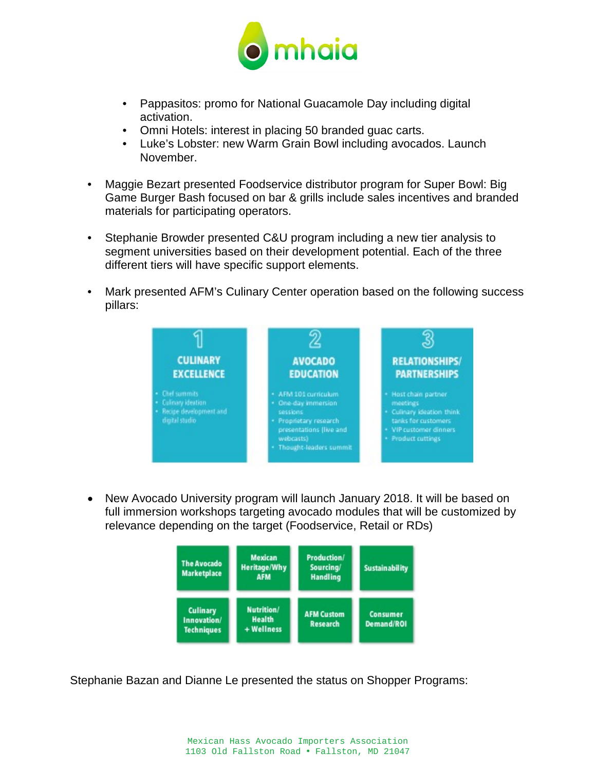

- Pappasitos: promo for National Guacamole Day including digital activation.
- Omni Hotels: interest in placing 50 branded guac carts.
- Luke's Lobster: new Warm Grain Bowl including avocados. Launch November.
- Maggie Bezart presented Foodservice distributor program for Super Bowl: Big Game Burger Bash focused on bar & grills include sales incentives and branded materials for participating operators.
- Stephanie Browder presented C&U program including a new tier analysis to segment universities based on their development potential. Each of the three different tiers will have specific support elements.
- Mark presented AFM's Culinary Center operation based on the following success pillars:



• New Avocado University program will launch January 2018. It will be based on full immersion workshops targeting avocado modules that will be customized by relevance depending on the target (Foodservice, Retail or RDs)



Stephanie Bazan and Dianne Le presented the status on Shopper Programs: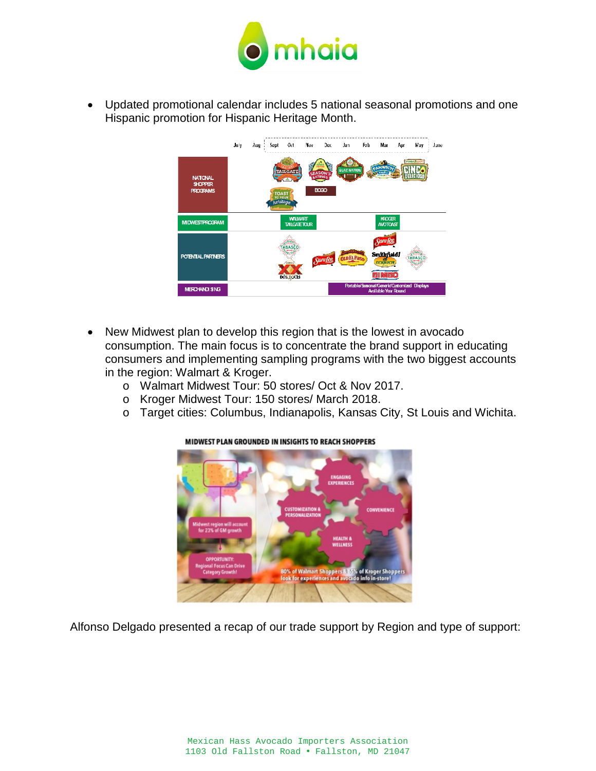

• Updated promotional calendar includes 5 national seasonal promotions and one Hispanic promotion for Hispanic Heritage Month.



- New Midwest plan to develop this region that is the lowest in avocado consumption. The main focus is to concentrate the brand support in educating consumers and implementing sampling programs with the two biggest accounts in the region: Walmart & Kroger.
	- o Walmart Midwest Tour: 50 stores/ Oct & Nov 2017.
	- o Kroger Midwest Tour: 150 stores/ March 2018.
	- o Target cities: Columbus, Indianapolis, Kansas City, St Louis and Wichita.



#### MIDWEST PLAN GROUNDED IN INSIGHTS TO REACH SHOPPERS

Alfonso Delgado presented a recap of our trade support by Region and type of support: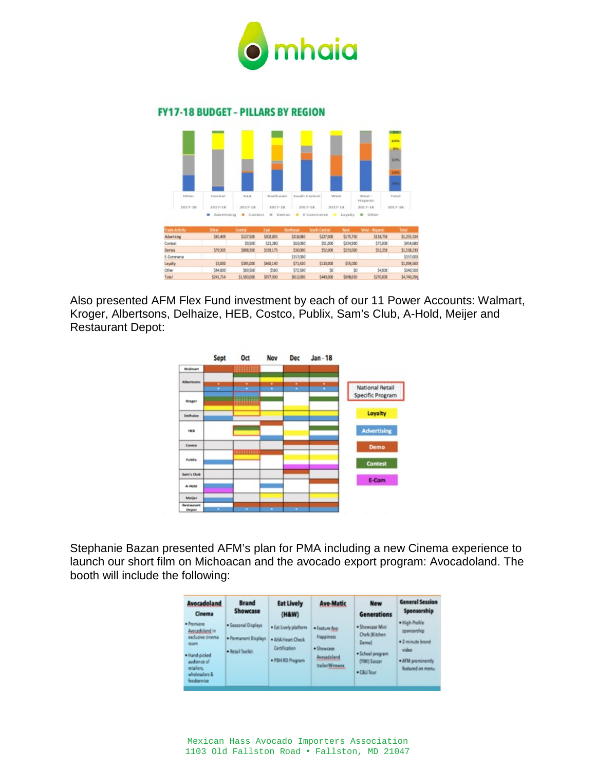

#### **FY17-18 BUDGET - PILLARS BY REGION**



Also presented AFM Flex Fund investment by each of our 11 Power Accounts: Walmart, Kroger, Albertsons, Delhaize, HEB, Costco, Publix, Sam's Club, A-Hold, Meijer and Restaurant Depot:



Stephanie Bazan presented AFM's plan for PMA including a new Cinema experience to launch our short film on Michoacan and the avocado export program: Avocadoland. The booth will include the following:

| Avocadoland                                                                                                                         | <b>Brand</b>                                                    | <b>Eat Lively</b>                                                               | <b>Avo-Matic</b>                                                                   | <b>New</b>                                                                                      | <b>General Session</b>                                                                              |
|-------------------------------------------------------------------------------------------------------------------------------------|-----------------------------------------------------------------|---------------------------------------------------------------------------------|------------------------------------------------------------------------------------|-------------------------------------------------------------------------------------------------|-----------------------------------------------------------------------------------------------------|
| Cinema                                                                                                                              | Showcase                                                        | (H&W)                                                                           |                                                                                    | <b>Generations</b>                                                                              | Sponsorship                                                                                         |
| · Premiere<br>Avocadoland in<br>exclusive cinema<br>room<br>· Hand-picked<br>audience of<br>stales.<br>wholesalers &<br>foodservice | · Seasonal Displays<br>· Permanent Displays<br>- Retail Toolkit | · Eat Lively platform<br>· AHA Heart Check<br>Certification<br>. PBH RD Program | · Feature Avo-<br><b>Happiness</b><br>· Showcase<br>Avocadoland<br>trailer/Wirewex | · Showcase Mini<br>Chefs (Kitchen)<br>Demo)<br>· School program<br>(YMI) Soccer<br>· Câlli Tour | . High-Profile<br>sponsorship<br>. 2-minute brand<br>video<br>· AFM prominently<br>featured on menu |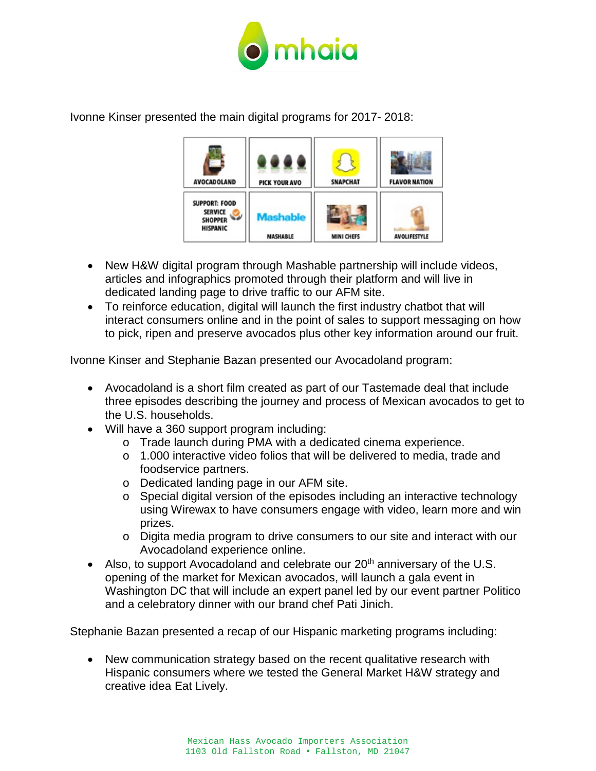

Ivonne Kinser presented the main digital programs for 2017- 2018:



- New H&W digital program through Mashable partnership will include videos, articles and infographics promoted through their platform and will live in dedicated landing page to drive traffic to our AFM site.
- To reinforce education, digital will launch the first industry chatbot that will interact consumers online and in the point of sales to support messaging on how to pick, ripen and preserve avocados plus other key information around our fruit.

Ivonne Kinser and Stephanie Bazan presented our Avocadoland program:

- Avocadoland is a short film created as part of our Tastemade deal that include three episodes describing the journey and process of Mexican avocados to get to the U.S. households.
- Will have a 360 support program including:
	- o Trade launch during PMA with a dedicated cinema experience.
	- $\circ$  1.000 interactive video folios that will be delivered to media, trade and foodservice partners.
	- o Dedicated landing page in our AFM site.
	- o Special digital version of the episodes including an interactive technology using Wirewax to have consumers engage with video, learn more and win prizes.
	- o Digita media program to drive consumers to our site and interact with our Avocadoland experience online.
- Also, to support Avocadoland and celebrate our  $20<sup>th</sup>$  anniversary of the U.S. opening of the market for Mexican avocados, will launch a gala event in Washington DC that will include an expert panel led by our event partner Politico and a celebratory dinner with our brand chef Pati Jinich.

Stephanie Bazan presented a recap of our Hispanic marketing programs including:

• New communication strategy based on the recent qualitative research with Hispanic consumers where we tested the General Market H&W strategy and creative idea Eat Lively.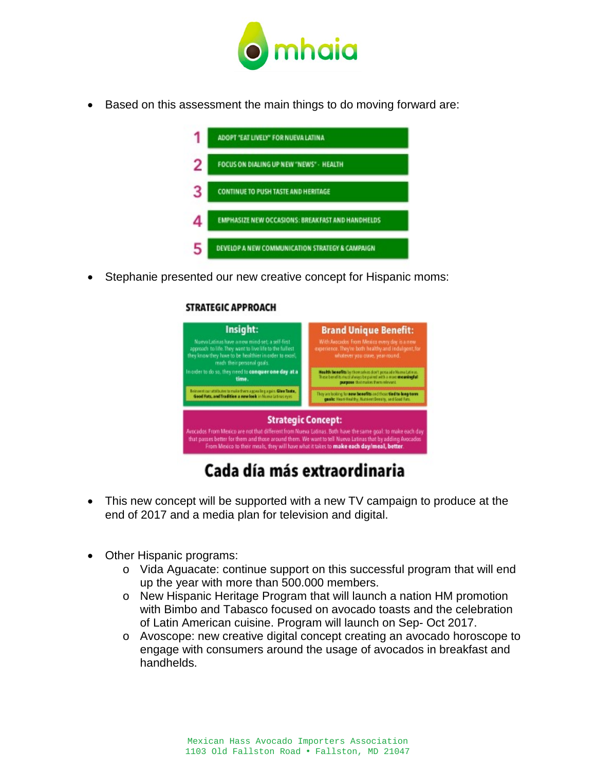

• Based on this assessment the main things to do moving forward are:



Stephanie presented our new creative concept for Hispanic moms:

## **STRATEGIC APPROACH**



# Cada día más extraordinaria

- This new concept will be supported with a new TV campaign to produce at the end of 2017 and a media plan for television and digital.
- Other Hispanic programs:
	- o Vida Aguacate: continue support on this successful program that will end up the year with more than 500.000 members.
	- o New Hispanic Heritage Program that will launch a nation HM promotion with Bimbo and Tabasco focused on avocado toasts and the celebration of Latin American cuisine. Program will launch on Sep- Oct 2017.
	- o Avoscope: new creative digital concept creating an avocado horoscope to engage with consumers around the usage of avocados in breakfast and handhelds.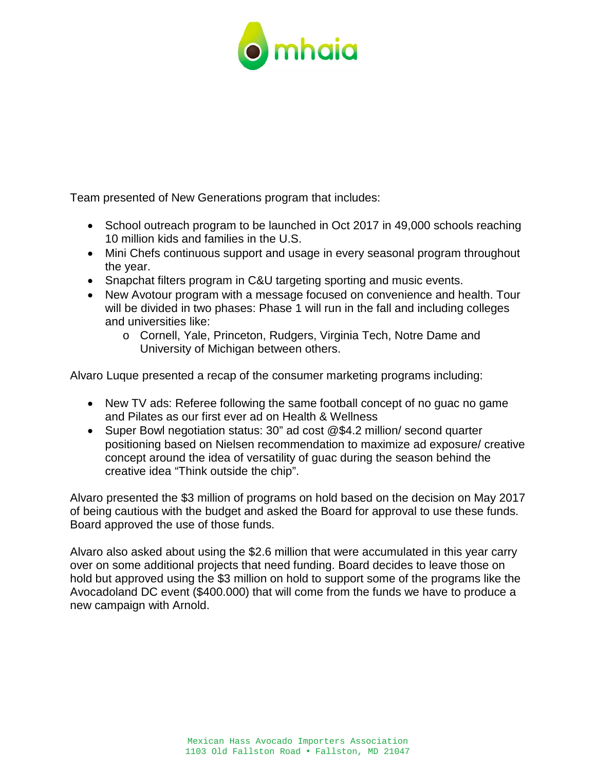

Team presented of New Generations program that includes:

- School outreach program to be launched in Oct 2017 in 49,000 schools reaching 10 million kids and families in the U.S.
- Mini Chefs continuous support and usage in every seasonal program throughout the year.
- Snapchat filters program in C&U targeting sporting and music events.
- New Avotour program with a message focused on convenience and health. Tour will be divided in two phases: Phase 1 will run in the fall and including colleges and universities like:
	- o Cornell, Yale, Princeton, Rudgers, Virginia Tech, Notre Dame and University of Michigan between others.

Alvaro Luque presented a recap of the consumer marketing programs including:

- New TV ads: Referee following the same football concept of no guac no game and Pilates as our first ever ad on Health & Wellness
- Super Bowl negotiation status: 30" ad cost @\$4.2 million/ second quarter positioning based on Nielsen recommendation to maximize ad exposure/ creative concept around the idea of versatility of guac during the season behind the creative idea "Think outside the chip".

Alvaro presented the \$3 million of programs on hold based on the decision on May 2017 of being cautious with the budget and asked the Board for approval to use these funds. Board approved the use of those funds.

Alvaro also asked about using the \$2.6 million that were accumulated in this year carry over on some additional projects that need funding. Board decides to leave those on hold but approved using the \$3 million on hold to support some of the programs like the Avocadoland DC event (\$400.000) that will come from the funds we have to produce a new campaign with Arnold.